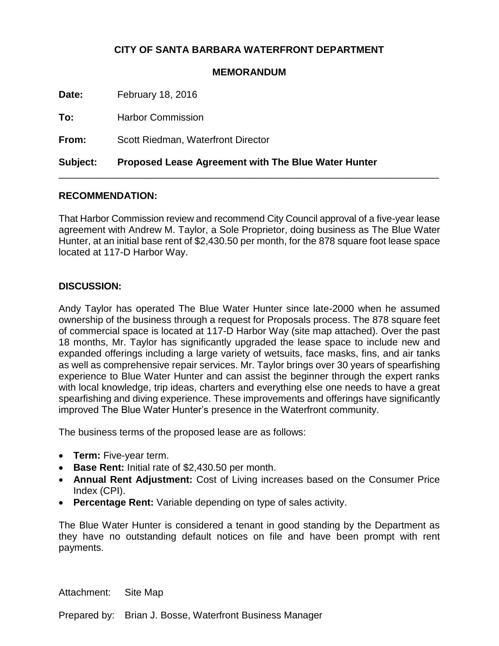## **CITY OF SANTA BARBARA WATERFRONT DEPARTMENT**

## **MEMORANDUM**

**Date:** February 18, 2016

**To:** Harbor Commission

**From:** Scott Riedman, Waterfront Director

**Subject: Proposed Lease Agreement with The Blue Water Hunter**

## **RECOMMENDATION:**

That Harbor Commission review and recommend City Council approval of a five-year lease agreement with Andrew M. Taylor, a Sole Proprietor, doing business as The Blue Water Hunter, at an initial base rent of \$2,430.50 per month, for the 878 square foot lease space located at 117-D Harbor Way.

\_\_\_\_\_\_\_\_\_\_\_\_\_\_\_\_\_\_\_\_\_\_\_\_\_\_\_\_\_\_\_\_\_\_\_\_\_\_\_\_\_\_\_\_\_\_\_\_\_\_\_\_\_\_\_\_\_\_\_\_\_\_\_\_\_\_\_\_\_\_

## **DISCUSSION:**

Andy Taylor has operated The Blue Water Hunter since late-2000 when he assumed ownership of the business through a request for Proposals process. The 878 square feet of commercial space is located at 117-D Harbor Way (site map attached). Over the past 18 months, Mr. Taylor has significantly upgraded the lease space to include new and expanded offerings including a large variety of wetsuits, face masks, fins, and air tanks as well as comprehensive repair services. Mr. Taylor brings over 30 years of spearfishing experience to Blue Water Hunter and can assist the beginner through the expert ranks with local knowledge, trip ideas, charters and everything else one needs to have a great spearfishing and diving experience. These improvements and offerings have significantly improved The Blue Water Hunter's presence in the Waterfront community.

The business terms of the proposed lease are as follows:

- **Term:** Five-year term.
- **Base Rent:** Initial rate of \$2,430.50 per month.
- **Annual Rent Adjustment:** Cost of Living increases based on the Consumer Price Index (CPI).
- **Percentage Rent:** Variable depending on type of sales activity.

The Blue Water Hunter is considered a tenant in good standing by the Department as they have no outstanding default notices on file and have been prompt with rent payments.

Attachment: Site Map

Prepared by: Brian J. Bosse, Waterfront Business Manager